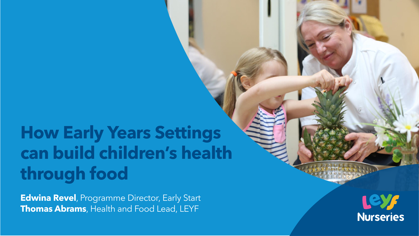# **How Early Years Settings can build children's health through food**

**Edwina Revel**, Programme Director, Early Start **Thomas Abrams**, Health and Food Lead, LEYF

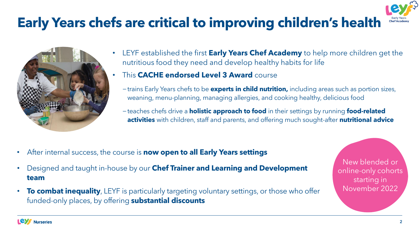## **Early Years chefs are critical to improving children's health**



- LEYF established the first **Early Years Chef Academy** to help more children get the nutritious food they need and develop healthy habits for life
- This **CACHE endorsed Level 3 Award** course
	- −trains Early Years chefs to be **experts in child nutrition,** including areas such as portion sizes, weaning, menu-planning, managing allergies, and cooking healthy, delicious food
	- −teaches chefs drive a **holistic approach to food** in their settings by running **food-related activities** with children, staff and parents, and offering much sought-after **nutritional advice**

- After internal success, the course is **now open to all Early Years settings**
- Designed and taught in-house by our **Chef Trainer and Learning and Development team**
- **To combat inequality**, LEYF is particularly targeting voluntary settings, or those who offer funded-only places, by offering **substantial discounts**

New blended or online-only cohorts starting in November 2022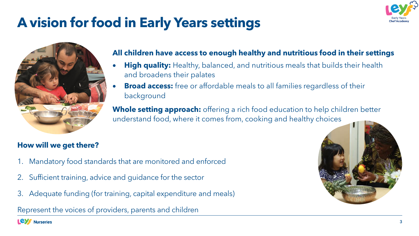## **A vision for food in Early Years settings**



#### **All children have access to enough healthy and nutritious food in their settings**

- **High quality:** Healthy, balanced, and nutritious meals that builds their health and broadens their palates
- **Broad access:** free or affordable meals to all families regardless of their background

**Whole setting approach:** offering a rich food education to help children better understand food, where it comes from, cooking and healthy choices

#### **How will we get there?**

- 1. Mandatory food standards that are monitored and enforced
- 2. Sufficient training, advice and guidance for the sector
- 3. Adequate funding (for training, capital expenditure and meals)

Represent the voices of providers, parents and children